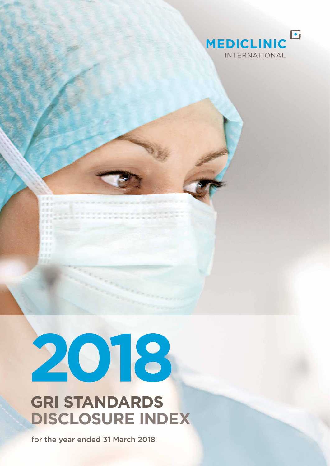

## 2018

 $r = x$ 

## **GRI STANDARDS DISCLOSURE INDEX**

for the year ended 31 March 2018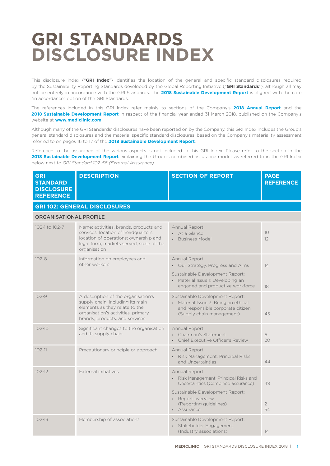## **GRI STANDARDS DISCLOSURE INDEX**

This disclosure index ("**GRI Index**") identifies the location of the general and specific standard disclosures required by the Sustainability Reporting Standards developed by the Global Reporting Initiative ("**GRI Standards**"), although all may not be entirely in accordance with the GRI Standards. The **2018 Sustainable Development Report** is aligned with the core "in accordance" option of the GRI Standards.

The references included in this GRI Index refer mainly to sections of the Company's **2018 Annual Report** and the **2018 Sustainable Development Report** in respect of the financial year ended 31 March 2018, published on the Company's website at **www.mediclinic.com**.

Although many of the GRI Standards' disclosures have been reported on by the Company, this GRI Index includes the Group's general standard disclosures and the material specific standard disclosures, based on the Company's materiality assessment referred to on pages 16 to 17 of the **2018 Sustainable Development Report**.

Reference to the assurance of the various aspects is not included in this GRI Index. Please refer to the section in the **2018 Sustainable Development Report** explaining the Group's combined assurance model, as referred to in the GRI Index below next to *GRI Standard 102-56 (External Assurance)*.

| <b>GRI</b><br><b>STANDARD</b><br><b>DISCLOSURE</b><br><b>REFERENCE</b> | <b>DESCRIPTION</b>                                                                                                                                                                 | <b>SECTION OF REPORT</b>                                                                                                                                                                        | <b>PAGE</b><br><b>REFERENCE</b> |
|------------------------------------------------------------------------|------------------------------------------------------------------------------------------------------------------------------------------------------------------------------------|-------------------------------------------------------------------------------------------------------------------------------------------------------------------------------------------------|---------------------------------|
|                                                                        | <b>GRI 102: GENERAL DISCLOSURES</b>                                                                                                                                                |                                                                                                                                                                                                 |                                 |
| <b>ORGANISATIONAL PROFILE</b>                                          |                                                                                                                                                                                    |                                                                                                                                                                                                 |                                 |
| 102-1 to 102-7                                                         | Name; activities, brands, products and<br>services; location of headquarters;<br>location of operations; ownership and<br>legal form; markets served; scale of the<br>organisation | Annual Report:<br>• At a Glance<br><b>Business Model</b>                                                                                                                                        | 10<br>12                        |
| $102 - 8$                                                              | Information on employees and<br>other workers                                                                                                                                      | Annual Report:<br>• Our Strategy, Progress and Aims<br>Sustainable Development Report:<br>• Material Issue 1: Developing an<br>engaged and productive workforce                                 | 14<br>18                        |
| $102 - 9$                                                              | A description of the organisation's<br>supply chain, including its main<br>elements as they relate to the<br>organisation's activities, primary<br>brands, products, and services  | Sustainable Development Report:<br>• Material Issue 3: Being an ethical<br>and responsible corporate citizen<br>(Supply chain management)                                                       | 45                              |
| $102 - 10$                                                             | Significant changes to the organisation<br>and its supply chain                                                                                                                    | Annual Report:<br>Chairman's Statement<br>Chief Executive Officer's Review                                                                                                                      | 6<br>20                         |
| $102 - 11$                                                             | Precautionary principle or approach                                                                                                                                                | Annual Report:<br>• Risk Management, Principal Risks<br>and Uncertainties                                                                                                                       | 44                              |
| $102 - 12$                                                             | External initiatives                                                                                                                                                               | Annual Report:<br>• Risk Management, Principal Risks and<br>Uncertainties (Combined assurance)<br>Sustainable Development Report:<br>• Report overview<br>(Reporting guidelines)<br>• Assurance | 49<br>$\overline{2}$<br>54      |
| $102 - 13$                                                             | Membership of associations                                                                                                                                                         | Sustainable Development Report:<br>· Stakeholder Engagement:<br>(Industry associations)                                                                                                         | 14                              |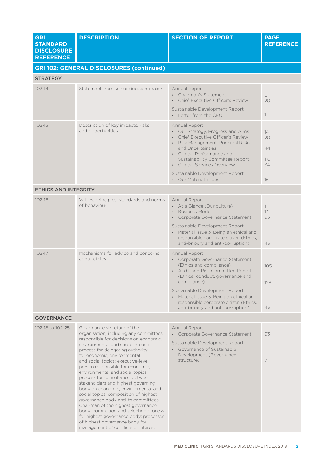| <b>GRI</b><br><b>STANDARD</b><br><b>DISCLOSURE</b><br><b>REFERENCE</b> | <b>DESCRIPTION</b>                                                                                                                                                                                                                                                                                                                                                                                                                                                                                                                                                                                                                                                                                                                        | <b>SECTION OF REPORT</b>                                                                                                                                                                                                                                                                                                            | <b>PAGE</b><br><b>REFERENCE</b>   |
|------------------------------------------------------------------------|-------------------------------------------------------------------------------------------------------------------------------------------------------------------------------------------------------------------------------------------------------------------------------------------------------------------------------------------------------------------------------------------------------------------------------------------------------------------------------------------------------------------------------------------------------------------------------------------------------------------------------------------------------------------------------------------------------------------------------------------|-------------------------------------------------------------------------------------------------------------------------------------------------------------------------------------------------------------------------------------------------------------------------------------------------------------------------------------|-----------------------------------|
|                                                                        | <b>GRI 102: GENERAL DISCLOSURES (continued)</b>                                                                                                                                                                                                                                                                                                                                                                                                                                                                                                                                                                                                                                                                                           |                                                                                                                                                                                                                                                                                                                                     |                                   |
| <b>STRATEGY</b>                                                        |                                                                                                                                                                                                                                                                                                                                                                                                                                                                                                                                                                                                                                                                                                                                           |                                                                                                                                                                                                                                                                                                                                     |                                   |
| $102 - 14$                                                             | Statement from senior decision-maker                                                                                                                                                                                                                                                                                                                                                                                                                                                                                                                                                                                                                                                                                                      | Annual Report:<br>• Chairman's Statement<br>Chief Executive Officer's Review<br>Sustainable Development Report:<br>• Letter from the CEO                                                                                                                                                                                            | 6<br>20<br>$\left  \right $       |
| $102 - 15$                                                             | Description of key impacts, risks<br>and opportunities                                                                                                                                                                                                                                                                                                                                                                                                                                                                                                                                                                                                                                                                                    | Annual Report:<br>• Our Strategy, Progress and Aims<br>Chief Executive Officer's Review<br>Risk Management, Principal Risks<br>and Uncertainties<br>• Clinical Performance and<br>Sustainability Committee Report<br>• Clinical Services Overview<br>Sustainable Development Report:<br>• Our Material Issues                       | 14<br>20<br>44<br>116<br>34<br>16 |
| <b>ETHICS AND INTEGRITY</b>                                            |                                                                                                                                                                                                                                                                                                                                                                                                                                                                                                                                                                                                                                                                                                                                           |                                                                                                                                                                                                                                                                                                                                     |                                   |
| $102 - 16$                                                             | Values, principles, standards and norms<br>of behaviour                                                                                                                                                                                                                                                                                                                                                                                                                                                                                                                                                                                                                                                                                   | Annual Report:<br>• At a Glance (Our culture)<br><b>Business Model</b><br>$\bullet$ .<br>Corporate Governance Statement<br>Sustainable Development Report:<br>• Material Issue 3: Being an ethical and<br>responsible corporate citizen (Ethics,<br>anti-bribery and anti-corruption)                                               | 11<br>12<br>93<br>43              |
| $102 - 17$                                                             | Mechanisms for advice and concerns<br>about ethics                                                                                                                                                                                                                                                                                                                                                                                                                                                                                                                                                                                                                                                                                        | Annual Report:<br>• Corporate Governance Statement<br>(Ethics and compliance)<br>• Audit and Risk Committee Report<br>(Ethical conduct, governance and<br>compliance)<br>Sustainable Development Report:<br>• Material Issue 3: Being an ethical and<br>responsible corporate citizen (Ethics,<br>anti-bribery and anti-corruption) | 105<br>128<br>43                  |
| <b>GOVERNANCE</b>                                                      |                                                                                                                                                                                                                                                                                                                                                                                                                                                                                                                                                                                                                                                                                                                                           |                                                                                                                                                                                                                                                                                                                                     |                                   |
| 102-18 to 102-25                                                       | Governance structure of the<br>organisation, including any committees<br>responsible for decisions on economic,<br>environmental and social impacts;<br>process for delegating authority<br>for economic, environmental<br>and social topics; executive-level<br>person responsible for economic,<br>environmental and social topics;<br>process for consultation between<br>stakeholders and highest governing<br>body on economic, environmental and<br>social topics; composition of highest<br>governance body and its committees;<br>Chairman of the highest governance<br>body; nomination and selection process<br>for highest governance body; processes<br>of highest governance body for<br>management of conflicts of interest | Annual Report:<br>Corporate Governance Statement<br>Sustainable Development Report:<br>• Governance of Sustainable<br>Development (Governance<br>structure)                                                                                                                                                                         | 93<br>$\overline{7}$              |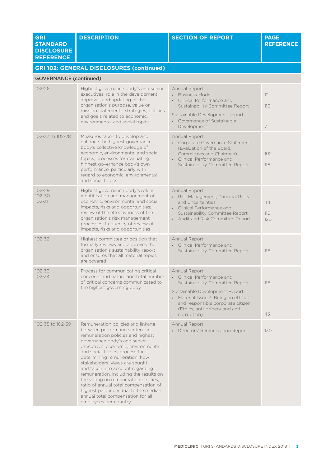| <b>GRI</b><br><b>STANDARD</b><br><b>DISCLOSURE</b><br><b>REFERENCE</b> | <b>DESCRIPTION</b>                                                                                                                                                                                                                                                                                                                                                                                                                                                                                                                                          | <b>SECTION OF REPORT</b>                                                                                                                                                                                                                        | <b>PAGE</b><br><b>REFERENCE</b> |
|------------------------------------------------------------------------|-------------------------------------------------------------------------------------------------------------------------------------------------------------------------------------------------------------------------------------------------------------------------------------------------------------------------------------------------------------------------------------------------------------------------------------------------------------------------------------------------------------------------------------------------------------|-------------------------------------------------------------------------------------------------------------------------------------------------------------------------------------------------------------------------------------------------|---------------------------------|
|                                                                        | <b>GRI 102: GENERAL DISCLOSURES (continued)</b>                                                                                                                                                                                                                                                                                                                                                                                                                                                                                                             |                                                                                                                                                                                                                                                 |                                 |
| <b>GOVERNANCE (continued)</b>                                          |                                                                                                                                                                                                                                                                                                                                                                                                                                                                                                                                                             |                                                                                                                                                                                                                                                 |                                 |
| $102 - 26$                                                             | Highest governance body's and senior<br>executives' role in the development,<br>approval, and updating of the<br>organisation's purpose, value or<br>mission statements, strategies, policies<br>and goals related to economic,<br>environmental and social topics                                                                                                                                                                                                                                                                                          | Annual Report:<br><b>Business Model</b><br>Clinical Performance and<br>$\bullet$<br>Sustainability Committee Report<br>Sustainable Development Report:<br>Governance of Sustainable<br>Development                                              | 12<br>116<br>$\overline{7}$     |
| 102-27 to 102-28                                                       | Measures taken to develop and<br>enhance the highest governance<br>body's collective knowledge of<br>economic, environmental and social<br>topics; processes for evaluating<br>highest governance body's own<br>performance, particularly with<br>regard to economic, environmental<br>and social topics                                                                                                                                                                                                                                                    | Annual Report:<br>• Corporate Governance Statement:<br>(Evaluation of the Board,<br>Committees and Chairman)<br>Clinical Performance and<br>Sustainability Committee Report                                                                     | 102<br>116                      |
| $102 - 29$<br>$102 - 30$<br>$102 - 31$                                 | Highest governance body's role in<br>identification and management of<br>economic, environmental and social<br>impacts, risks and opportunities;<br>review of the effectiveness of the<br>organisation's risk management<br>processes; frequency of review of<br>impacts, risks and opportunities                                                                                                                                                                                                                                                           | Annual Report:<br>• Risk Management, Principal Risks<br>and Uncertainties<br>Clinical Performance and<br>Sustainability Committee Report<br>• Audit and Risk Committee Report                                                                   | 44<br>116<br>120                |
| $102 - 32$                                                             | Highest committee or position that<br>formally reviews and approves the<br>organisation's sustainability report<br>and ensures that all material topics<br>are covered                                                                                                                                                                                                                                                                                                                                                                                      | Annual Report:<br>• Clinical Performance and<br>Sustainability Committee Report                                                                                                                                                                 | 116                             |
| $102 - 33$<br>$102 - 34$                                               | Process for communicating critical<br>concerns and nature and total number<br>of critical concerns communicated to<br>the highest governing body                                                                                                                                                                                                                                                                                                                                                                                                            | Annual Report:<br>• Clinical Performance and<br>Sustainability Committee Report<br>Sustainable Development Report:<br>Material Issue 3: Being an ethical<br>and responsible corporate citizen<br>(Ethics, anti-bribery and anti-<br>corruption) | 116<br>43                       |
| 102-35 to 102-39                                                       | Remuneration policies and linkage<br>between performance criteria in<br>remuneration policies and highest<br>governance body's and senior<br>executives' economic, environmental<br>and social topics; process for<br>determining remuneration; how<br>stakeholders' views are sought<br>and taken into account regarding<br>remuneration, including the results on<br>the voting on remuneration policies;<br>ratio of annual total compensation of<br>highest paid individual to the median<br>annual total compensation for all<br>employees per country | Annual Report:<br>• Directors' Remuneration Report                                                                                                                                                                                              | 130                             |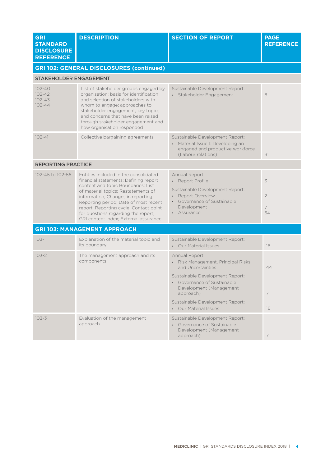| <b>GRI</b><br><b>STANDARD</b><br><b>DISCLOSURE</b><br><b>REFERENCE</b> | <b>DESCRIPTION</b>                                                                                                                                                                                                                                                                                                                                                   | <b>SECTION OF REPORT</b>                                                                                                                                                                                                                                   | <b>PAGE</b><br><b>REFERENCE</b>      |  |
|------------------------------------------------------------------------|----------------------------------------------------------------------------------------------------------------------------------------------------------------------------------------------------------------------------------------------------------------------------------------------------------------------------------------------------------------------|------------------------------------------------------------------------------------------------------------------------------------------------------------------------------------------------------------------------------------------------------------|--------------------------------------|--|
|                                                                        | <b>GRI 102: GENERAL DISCLOSURES (continued)</b>                                                                                                                                                                                                                                                                                                                      |                                                                                                                                                                                                                                                            |                                      |  |
| <b>STAKEHOLDER ENGAGEMENT</b>                                          |                                                                                                                                                                                                                                                                                                                                                                      |                                                                                                                                                                                                                                                            |                                      |  |
| $102 - 40$<br>$102 - 42$<br>$102 - 43$<br>$102 - 44$                   | List of stakeholder groups engaged by<br>organisation; basis for identification<br>and selection of stakeholders with<br>whom to engage; approaches to<br>stakeholder engagement; key topics<br>and concerns that have been raised<br>through stakeholder engagement and<br>how organisation responded                                                               | Sustainable Development Report:<br>· Stakeholder Engagement                                                                                                                                                                                                | 8                                    |  |
| $102 - 41$                                                             | Collective bargaining agreements                                                                                                                                                                                                                                                                                                                                     | Sustainable Development Report:<br>• Material Issue 1: Developing an<br>engaged and productive workforce<br>(Labour relations)                                                                                                                             | 31                                   |  |
|                                                                        | <b>REPORTING PRACTICE</b>                                                                                                                                                                                                                                                                                                                                            |                                                                                                                                                                                                                                                            |                                      |  |
| 102-45 to 102-56                                                       | Entities included in the consolidated<br>financial statements; Defining report<br>content and topic Boundaries; List<br>of material topics; Restatements of<br>information; Changes in reporting;<br>Reporting period; Date of most recent<br>report; Reporting cycle; Contact point<br>for questions regarding the report;<br>GRI content index; External assurance | Annual Report:<br>• Report Profile<br>Sustainable Development Report:<br><b>Report Overview</b><br>Governance of Sustainable<br>Development<br>Assurance                                                                                                   | 3<br>$\overline{2}$<br>7<br>54       |  |
|                                                                        | <b>GRI 103: MANAGEMENT APPROACH</b>                                                                                                                                                                                                                                                                                                                                  |                                                                                                                                                                                                                                                            |                                      |  |
| $103-1$                                                                | Explanation of the material topic and<br>its boundary                                                                                                                                                                                                                                                                                                                | Sustainable Development Report:<br>• Our Material Issues                                                                                                                                                                                                   | 16                                   |  |
| $103 - 2$                                                              | The management approach and its<br>components                                                                                                                                                                                                                                                                                                                        | Annual Report:<br>Risk Management, Principal Risks<br>$\bullet$<br>and Uncertainties<br>Sustainable Development Report:<br>• Governance of Sustainable<br>Development (Management<br>approach)<br>Sustainable Development Report:<br>• Our Material Issues | 44<br>$\overline{\phantom{a}}$<br>16 |  |
| $103 - 3$                                                              | Evaluation of the management<br>approach                                                                                                                                                                                                                                                                                                                             | Sustainable Development Report:<br>• Governance of Sustainable<br>Development (Management<br>approach)                                                                                                                                                     | $\overline{7}$                       |  |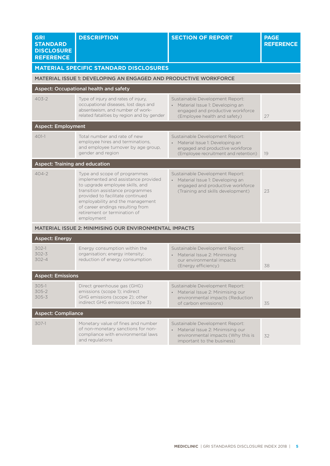| <b>GRI</b><br><b>STANDARD</b><br><b>DISCLOSURE</b><br><b>REFERENCE</b> | <b>DESCRIPTION</b>                                                                                                                                                                                                                                                                                   | <b>SECTION OF REPORT</b>                                                                                                                         | <b>PAGE</b><br><b>REFERENCE</b> |
|------------------------------------------------------------------------|------------------------------------------------------------------------------------------------------------------------------------------------------------------------------------------------------------------------------------------------------------------------------------------------------|--------------------------------------------------------------------------------------------------------------------------------------------------|---------------------------------|
|                                                                        | <b>MATERIAL SPECIFIC STANDARD DISCLOSURES</b>                                                                                                                                                                                                                                                        |                                                                                                                                                  |                                 |
|                                                                        | MATERIAL ISSUE 1: DEVELOPING AN ENGAGED AND PRODUCTIVE WORKFORCE                                                                                                                                                                                                                                     |                                                                                                                                                  |                                 |
|                                                                        | Aspect: Occupational health and safety                                                                                                                                                                                                                                                               |                                                                                                                                                  |                                 |
| $403 - 2$                                                              | Type of injury and rates of injury,<br>occupational diseases, lost days and<br>absenteeism, and number of work-<br>related fatalities by region and by gender                                                                                                                                        | Sustainable Development Report:<br>• Material Issue 1: Developing an<br>engaged and productive workforce<br>(Employee health and safety)         | 27                              |
| <b>Aspect: Employment</b>                                              |                                                                                                                                                                                                                                                                                                      |                                                                                                                                                  |                                 |
| $401-1$                                                                | Total number and rate of new<br>employee hires and terminations.<br>and employee turnover by age group,<br>gender and region                                                                                                                                                                         | Sustainable Development Report:<br>• Material Issue 1: Developing an<br>engaged and productive workforce<br>(Employee recruitment and retention) | 19                              |
| <b>Aspect: Training and education</b>                                  |                                                                                                                                                                                                                                                                                                      |                                                                                                                                                  |                                 |
| $404 - 2$                                                              | Type and scope of programmes<br>implemented and assistance provided<br>to upgrade employee skills, and<br>transition assistance programmes<br>provided to facilitate continued<br>employability and the management<br>of career endings resulting from<br>retirement or termination of<br>employment | Sustainable Development Report:<br>• Material Issue 1: Developing an<br>engaged and productive workforce<br>(Training and skills development)    | 23                              |
|                                                                        | MATERIAL ISSUE 2: MINIMISING OUR ENVIRONMENTAL IMPACTS                                                                                                                                                                                                                                               |                                                                                                                                                  |                                 |
| <b>Aspect: Energy</b>                                                  |                                                                                                                                                                                                                                                                                                      |                                                                                                                                                  |                                 |
| $302 - 1$<br>$302 - 3$<br>$302 - 4$                                    | Energy consumption within the<br>organisation; energy intensity;<br>reduction of energy consumption                                                                                                                                                                                                  | Sustainable Development Report:<br>• Material Issue 2: Minimising<br>our environmental impacts<br>(Energy efficiency)                            | 38                              |
| <b>Aspect: Emissions</b>                                               |                                                                                                                                                                                                                                                                                                      |                                                                                                                                                  |                                 |
| $305-1$<br>$305 - 2$<br>$305 - 3$                                      | Direct greenhouse gas (GHG)<br>emissions (scope 1); indirect<br>GHG emissions (scope 2); other<br>indirect GHG emissions (scope 3)                                                                                                                                                                   | Sustainable Development Report:<br>Material Issue 2: Minimising our<br>environmental impacts (Reduction<br>of carbon emissions)                  | 35                              |
| <b>Aspect: Compliance</b>                                              |                                                                                                                                                                                                                                                                                                      |                                                                                                                                                  |                                 |
| $307-1$                                                                | Monetary value of fines and number<br>of non-monetary sanctions for non-<br>compliance with environmental laws<br>and regulations                                                                                                                                                                    | Sustainable Development Report:<br>• Material Issue 2: Minimising our<br>environmental impacts (Why this is<br>important to the business)        | 32                              |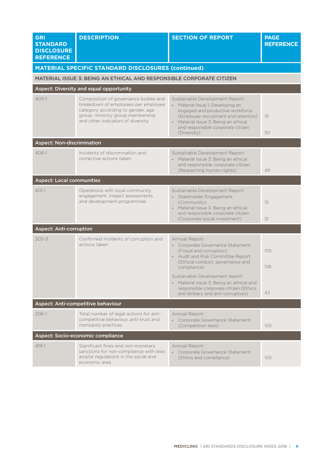| <b>GRI</b><br><b>STANDARD</b><br><b>DISCLOSURE</b><br><b>REFERENCE</b> | <b>DESCRIPTION</b>                                                                                                                                                                        | <b>SECTION OF REPORT</b>                                                                                                                                                                                                                     | <b>PAGE</b><br><b>REFERENCE</b> |
|------------------------------------------------------------------------|-------------------------------------------------------------------------------------------------------------------------------------------------------------------------------------------|----------------------------------------------------------------------------------------------------------------------------------------------------------------------------------------------------------------------------------------------|---------------------------------|
|                                                                        | <b>MATERIAL SPECIFIC STANDARD DISCLOSURES (continued)</b>                                                                                                                                 |                                                                                                                                                                                                                                              |                                 |
|                                                                        | MATERIAL ISSUE 3: BEING AN ETHICAL AND RESPONSIBLE CORPORATE CITIZEN                                                                                                                      |                                                                                                                                                                                                                                              |                                 |
|                                                                        | Aspect: Diversity and equal opportunity                                                                                                                                                   |                                                                                                                                                                                                                                              |                                 |
| $405 - 1$                                                              | Composition of governance bodies and<br>breakdown of employees per employee<br>category according to gender, age<br>group, minority group membership<br>and other indicators of diversity | Sustainable Development Report:<br>• Material Issue 1: Developing an<br>engaged and productive workforce<br>(Employee recruitment and retention)<br>• Material Issue 3: Being an ethical<br>and responsible corporate citizen<br>(Diversity) | 19<br>50                        |
| <b>Aspect: Non-discrimination</b>                                      |                                                                                                                                                                                           |                                                                                                                                                                                                                                              |                                 |
| $406 - 1$                                                              | Incidents of discrimination and<br>corrective actions taken                                                                                                                               | Sustainable Development Report:<br>• Material Issue 3: Being an ethical<br>and responsible corporate citizen<br>(Respecting human rights)                                                                                                    | 49                              |
| <b>Aspect: Local communities</b>                                       |                                                                                                                                                                                           |                                                                                                                                                                                                                                              |                                 |
| $413 - 1$                                                              | Operations with local community<br>engagement, impact assessments,<br>and development programmes                                                                                          | Sustainable Development Report:<br>· Stakeholder Engagement:<br>(Community)<br>• Material Issue 3: Being an ethical<br>and responsible corporate citizen<br>(Corporate social investment)                                                    | 15<br>51                        |
| <b>Aspect: Anti-corruption</b>                                         |                                                                                                                                                                                           |                                                                                                                                                                                                                                              |                                 |
| $205 - 3$                                                              | Confirmed incidents of corruption and<br>actions taken                                                                                                                                    | Annual Report:<br>• Corporate Governance Statement:<br>(Fraud and corruption)<br>• Audit and Risk Committee Report:<br>(Ethical conduct, governance and<br>compliance)                                                                       | 105<br>128                      |
|                                                                        |                                                                                                                                                                                           | Sustainable Development report:<br>• Material Issue 3: Being an ethical and<br>responsible corporate citizen (Ethics,<br>anti-bribery and anti-corruption)                                                                                   | 43                              |
|                                                                        | Aspect: Anti-competitive behaviour                                                                                                                                                        |                                                                                                                                                                                                                                              |                                 |
| $206 - 1$                                                              | Total number of legal actions for anti-<br>competitive behaviour, anti-trust and<br>monopoly practices                                                                                    | Annual Report:<br>• Corporate Governance Statement:<br>(Competition laws)                                                                                                                                                                    | 105                             |
|                                                                        | Aspect: Socio-economic compliance                                                                                                                                                         |                                                                                                                                                                                                                                              |                                 |
| $419 - 1$                                                              | Significant fines and non-monetary<br>sanctions for non-compliance with laws<br>and/or regulations in the social and<br>economic area                                                     | Annual Report:<br>Corporate Governance Statement:<br>(Ethics and compliance)                                                                                                                                                                 | 105                             |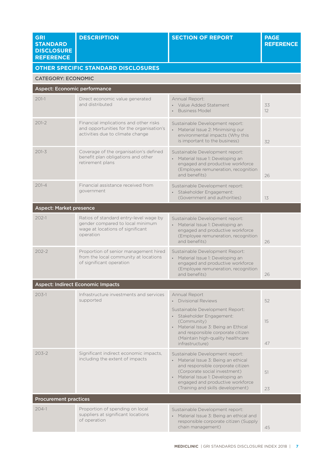| <b>GRI</b><br><b>STANDARD</b><br><b>DISCLOSURE</b><br><b>REFERENCE</b> | <b>DESCRIPTION</b>                                                                                                          | <b>SECTION OF REPORT</b>                                                                                                                                                                                                                                    | <b>PAGE</b><br><b>REFERENCE</b> |
|------------------------------------------------------------------------|-----------------------------------------------------------------------------------------------------------------------------|-------------------------------------------------------------------------------------------------------------------------------------------------------------------------------------------------------------------------------------------------------------|---------------------------------|
|                                                                        | <b>OTHER SPECIFIC STANDARD DISCLOSURES</b>                                                                                  |                                                                                                                                                                                                                                                             |                                 |
| <b>CATEGORY: ECONOMIC</b>                                              |                                                                                                                             |                                                                                                                                                                                                                                                             |                                 |
| Aspect: Economic performance                                           |                                                                                                                             |                                                                                                                                                                                                                                                             |                                 |
| $201-1$                                                                | Direct economic value generated<br>and distributed                                                                          | Annual Report:<br>• Value Added Statement<br><b>Business Model</b>                                                                                                                                                                                          | 33<br>12                        |
| $201 - 2$                                                              | Financial implications and other risks<br>and opportunities for the organisation's<br>activities due to climate change      | Sustainable Development report:<br>• Material Issue 2: Minimising our<br>environmental impacts (Why this<br>is important to the business)                                                                                                                   | 32                              |
| $201 - 3$                                                              | Coverage of the organisation's defined<br>benefit plan obligations and other<br>retirement plans                            | Sustainable Development report:<br>• Material Issue 1: Developing an<br>engaged and productive workforce<br>(Employee remuneration, recognition<br>and benefits)                                                                                            | 26                              |
| $201 - 4$                                                              | Financial assistance received from<br>government                                                                            | Sustainable Development report:<br>· Stakeholder Engagement:<br>(Government and authorities)                                                                                                                                                                | 13                              |
| <b>Aspect: Market presence</b>                                         |                                                                                                                             |                                                                                                                                                                                                                                                             |                                 |
| $202 - 1$                                                              | Ratios of standard entry-level wage by<br>gender compared to local minimum<br>wage at locations of significant<br>operation | Sustainable Development report:<br>• Material Issue 1: Developing an<br>engaged and productive workforce<br>(Employee remuneration, recognition<br>and benefits)                                                                                            | 26                              |
| $202 - 2$                                                              | Proportion of senior management hired<br>from the local community at locations<br>of significant operation                  | Sustainable Development Report:<br>• Material Issue 1: Developing an<br>engaged and productive workforce<br>(Employee remuneration, recognition<br>and benefits)                                                                                            | 26                              |
|                                                                        | <b>Aspect: Indirect Economic Impacts</b>                                                                                    |                                                                                                                                                                                                                                                             |                                 |
| $203 - 1$                                                              | Infrastructure investments and services<br>supported                                                                        | Annual Report<br><b>Divisional Reviews</b>                                                                                                                                                                                                                  | 52                              |
|                                                                        |                                                                                                                             | Sustainable Development Report:<br>· Stakeholder Engagement:<br>(Community)<br>• Material Issue 3: Being an Ethical<br>and responsible corporate citizen<br>(Maintain high-quality healthcare<br>infrastructure)                                            | 15<br>47                        |
| $203 - 2$                                                              | Significant indirect economic impacts,<br>including the extent of impacts                                                   | Sustainable Development report:<br>• Material Issue 3: Being an ethical<br>and responsible corporate citizen<br>(Corporate social investment)<br>• Material Issue 1: Developing an<br>engaged and productive workforce<br>(Training and skills development) | 51<br>23                        |
| <b>Procurement practices</b>                                           |                                                                                                                             |                                                                                                                                                                                                                                                             |                                 |
| $204-1$                                                                | Proportion of spending on local<br>suppliers at significant locations<br>of operation                                       | Sustainable Development report:<br>• Material Issue 3: Being an ethical and<br>responsible corporate citizen (Supply<br>chain management)                                                                                                                   | 45                              |
|                                                                        |                                                                                                                             |                                                                                                                                                                                                                                                             |                                 |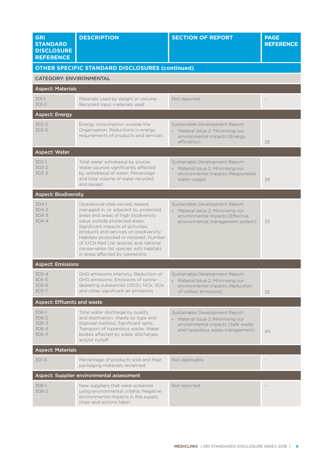| <b>GRI</b><br><b>STANDARD</b><br><b>DISCLOSURE</b><br><b>REFERENCE</b> | <b>DESCRIPTION</b>                                                                                                                                                                                                                                                                                                                                                                                   | <b>SECTION OF REPORT</b>                                                                                                                                | <b>PAGE</b><br><b>REFERENCE</b> |
|------------------------------------------------------------------------|------------------------------------------------------------------------------------------------------------------------------------------------------------------------------------------------------------------------------------------------------------------------------------------------------------------------------------------------------------------------------------------------------|---------------------------------------------------------------------------------------------------------------------------------------------------------|---------------------------------|
|                                                                        | <b>OTHER SPECIFIC STANDARD DISCLOSURES (continued)</b>                                                                                                                                                                                                                                                                                                                                               |                                                                                                                                                         |                                 |
| <b>CATEGORY: ENVIRONMENTAL</b>                                         |                                                                                                                                                                                                                                                                                                                                                                                                      |                                                                                                                                                         |                                 |
| <b>Aspect: Materials</b>                                               |                                                                                                                                                                                                                                                                                                                                                                                                      |                                                                                                                                                         |                                 |
| $301-1$<br>$301-2$                                                     | Materials used by weight or volume;<br>Recycled input materials used                                                                                                                                                                                                                                                                                                                                 | Not reported                                                                                                                                            |                                 |
| <b>Aspect: Energy</b>                                                  |                                                                                                                                                                                                                                                                                                                                                                                                      |                                                                                                                                                         |                                 |
| $302 - 2$<br>$302 - 5$                                                 | Energy consumption outside the<br>Organisation; Reductions in energy<br>requirements of products and services                                                                                                                                                                                                                                                                                        | Sustainable Development Report:<br>Material Issue 2: Minimising our<br>environmental impacts (Energy<br>efficiency)                                     | 38                              |
| <b>Aspect: Water</b>                                                   |                                                                                                                                                                                                                                                                                                                                                                                                      |                                                                                                                                                         |                                 |
| $303-1$<br>$303 - 2$<br>$303 - 3$                                      | Total water withdrawal by source;<br>Water sources significantly affected<br>by withdrawal of water; Percentage<br>and total volume of water recycled<br>and reused                                                                                                                                                                                                                                  | Sustainable Development Report:<br>Material Issue 2: Minimising our<br>environmental impacts (Responsible<br>water usage)                               | 39                              |
| <b>Aspect: Biodiversity</b>                                            |                                                                                                                                                                                                                                                                                                                                                                                                      |                                                                                                                                                         |                                 |
| $304-1$<br>$304 - 2$<br>$304 - 3$<br>$304 - 4$                         | Operational sites owned, leased,<br>managed in, or adjacent to, protected<br>areas and areas of high biodiversity<br>value outside protected areas;<br>Significant impacts of activities,<br>products and services on biodiversity;<br>Habitats protected or restored; Number<br>of IUCN Red List species and national<br>conservation list species with habitats<br>in areas affected by operations | Sustainable Development Report<br>Material Issue 2: Minimising our<br>$\bullet$<br>environmental impacts (Effective<br>environmental management system) | 33                              |
| <b>Aspect: Emissions</b>                                               |                                                                                                                                                                                                                                                                                                                                                                                                      |                                                                                                                                                         |                                 |
| $305 - 4$<br>$305 - 5$<br>305-6<br>305-7                               | GHG emissions intensity; Reduction of<br>GHG emissions; Emissions of ozone-<br>depleting substances (ODS); NOx, SOx<br>and other significant air emissions                                                                                                                                                                                                                                           | Sustainable Development Report:<br>Material Issue 2: Minimising our<br>environmental impacts (Reduction<br>of carbon emissions)                         | 35                              |
| <b>Aspect: Effluents and waste</b>                                     |                                                                                                                                                                                                                                                                                                                                                                                                      |                                                                                                                                                         |                                 |
| $306-1$<br>$306 - 2$<br>$306 - 3$<br>306-4<br>306-5                    | Total water discharge by quality<br>and destination; Waste by type and<br>disposal method; Significant spills;<br>Transport of hazardous waste; Water<br>bodies affected by water discharges<br>and/or runoff                                                                                                                                                                                        | Sustainable Development Report:<br>Material Issue 2: Minimising our<br>environmental impacts (Safe waste<br>and hazardous waste management)             | 40                              |
| <b>Aspect: Materials</b>                                               |                                                                                                                                                                                                                                                                                                                                                                                                      |                                                                                                                                                         |                                 |
| $301 - 3$                                                              | Percentage of products sold and their<br>packaging materials reclaimed                                                                                                                                                                                                                                                                                                                               | Not applicable                                                                                                                                          |                                 |
|                                                                        | Aspect: Supplier environmental assessment                                                                                                                                                                                                                                                                                                                                                            |                                                                                                                                                         |                                 |
| 308-1<br>308-2                                                         | New suppliers that were screened<br>using environmental criteria; Negative<br>environmental impacts in the supply<br>chain and actions taken                                                                                                                                                                                                                                                         | Not reported                                                                                                                                            |                                 |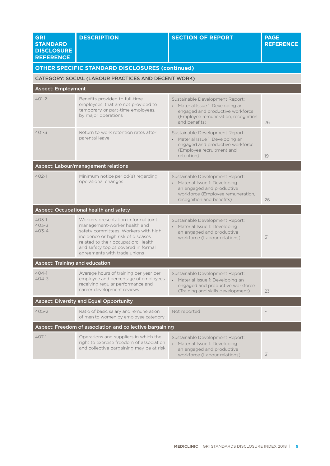| <b>GRI</b><br><b>STANDARD</b><br><b>DISCLOSURE</b><br><b>REFERENCE</b> | <b>DESCRIPTION</b>                                                                                                                                                                                                                                               | <b>SECTION OF REPORT</b>                                                                                                                                         | <b>PAGE</b><br><b>REFERENCE</b> |
|------------------------------------------------------------------------|------------------------------------------------------------------------------------------------------------------------------------------------------------------------------------------------------------------------------------------------------------------|------------------------------------------------------------------------------------------------------------------------------------------------------------------|---------------------------------|
|                                                                        | <b>OTHER SPECIFIC STANDARD DISCLOSURES (continued)</b>                                                                                                                                                                                                           |                                                                                                                                                                  |                                 |
|                                                                        | CATEGORY: SOCIAL (LABOUR PRACTICES AND DECENT WORK)                                                                                                                                                                                                              |                                                                                                                                                                  |                                 |
| <b>Aspect: Employment</b>                                              |                                                                                                                                                                                                                                                                  |                                                                                                                                                                  |                                 |
| $401 - 2$                                                              | Benefits provided to full-time<br>employees, that are not provided to<br>temporary or part-time employees,<br>by major operations                                                                                                                                | Sustainable Development Report:<br>• Material Issue 1: Developing an<br>engaged and productive workforce<br>(Employee remuneration, recognition<br>and benefits) | 26                              |
| $401 - 3$                                                              | Return to work retention rates after<br>parental leave                                                                                                                                                                                                           | Sustainable Development Report:<br>• Material Issue 1: Developing an<br>engaged and productive workforce<br>(Employee recruitment and<br>retention)              | 19                              |
|                                                                        | Aspect: Labour/management relations                                                                                                                                                                                                                              |                                                                                                                                                                  |                                 |
| $402 - 1$                                                              | Minimum notice period(s) regarding<br>operational changes                                                                                                                                                                                                        | Sustainable Development Report:<br>• Material Issue 1: Developing<br>an engaged and productive<br>workforce (Employee remuneration,<br>recognition and benefits) | 26                              |
|                                                                        | <b>Aspect: Occupational health and safety</b>                                                                                                                                                                                                                    |                                                                                                                                                                  |                                 |
| $403-1$<br>$403 - 3$<br>$403 - 4$                                      | Workers presentation in formal joint<br>management-worker health and<br>safety committees; Workers with high<br>incidence or high risk of diseases<br>related to their occupation; Health<br>and safety topics covered in formal<br>agreements with trade unions | Sustainable Development Report:<br>Material Issue 1: Developing<br>$\bullet$<br>an engaged and productive<br>workforce (Labour relations)                        | 31                              |
| <b>Aspect: Training and education</b>                                  |                                                                                                                                                                                                                                                                  |                                                                                                                                                                  |                                 |
| $404-1$<br>$404 - 3$                                                   | Average hours of training per year per<br>employee and percentage of employees<br>receiving regular performance and<br>career development reviews                                                                                                                | Sustainable Development Report:<br>• Material Issue 1: Developing an<br>engaged and productive workforce<br>(Training and skills development)                    | 23                              |
|                                                                        | <b>Aspect: Diversity and Equal Opportunity</b>                                                                                                                                                                                                                   |                                                                                                                                                                  |                                 |
| $405 - 2$                                                              | Ratio of basic salary and remuneration<br>of men to women by employee category                                                                                                                                                                                   | Not reported                                                                                                                                                     |                                 |
|                                                                        | Aspect: Freedom of association and collective bargaining                                                                                                                                                                                                         |                                                                                                                                                                  |                                 |
| $407-1$                                                                | Operations and suppliers in which the<br>right to exercise freedom of association<br>and collective bargaining may be at risk                                                                                                                                    | Sustainable Development Report:<br>Material Issue 1: Developing<br>an engaged and productive<br>workforce (Labour relations)                                     | 31                              |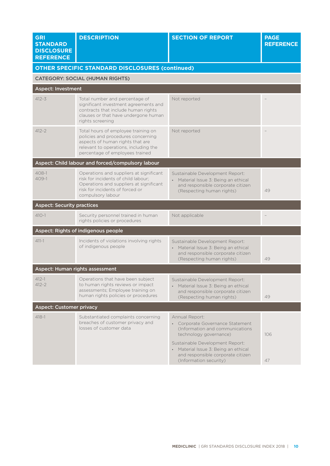| <b>GRI</b><br><b>STANDARD</b><br><b>DISCLOSURE</b><br><b>REFERENCE</b> | <b>DESCRIPTION</b>                                                                                                                                                                        | <b>SECTION OF REPORT</b>                                                                                                                                                                                                                                  | <b>PAGE</b><br><b>REFERENCE</b> |
|------------------------------------------------------------------------|-------------------------------------------------------------------------------------------------------------------------------------------------------------------------------------------|-----------------------------------------------------------------------------------------------------------------------------------------------------------------------------------------------------------------------------------------------------------|---------------------------------|
|                                                                        | <b>OTHER SPECIFIC STANDARD DISCLOSURES (continued)</b>                                                                                                                                    |                                                                                                                                                                                                                                                           |                                 |
|                                                                        | <b>CATEGORY: SOCIAL (HUMAN RIGHTS)</b>                                                                                                                                                    |                                                                                                                                                                                                                                                           |                                 |
| <b>Aspect: Investment</b>                                              |                                                                                                                                                                                           |                                                                                                                                                                                                                                                           |                                 |
| $412 - 3$                                                              | Total number and percentage of<br>significant investment agreements and<br>contracts that include human rights<br>clauses or that have undergone human<br>rights screening                | Not reported                                                                                                                                                                                                                                              |                                 |
| $412 - 2$                                                              | Total hours of employee training on<br>policies and procedures concerning<br>aspects of human rights that are<br>relevant to operations, including the<br>percentage of employees trained | Not reported                                                                                                                                                                                                                                              |                                 |
|                                                                        | Aspect: Child labour and forced/compulsory labour                                                                                                                                         |                                                                                                                                                                                                                                                           |                                 |
| $408 - 1$<br>409-1                                                     | Operations and suppliers at significant<br>risk for incidents of child labour;<br>Operations and suppliers at significant<br>risk for incidents of forced or<br>compulsory labour         | Sustainable Development Report:<br>• Material Issue 3: Being an ethical<br>and responsible corporate citizen<br>(Respecting human rights)                                                                                                                 | 49                              |
| <b>Aspect: Security practices</b>                                      |                                                                                                                                                                                           |                                                                                                                                                                                                                                                           |                                 |
| $410 - 1$                                                              | Security personnel trained in human<br>rights policies or procedures                                                                                                                      | Not applicable                                                                                                                                                                                                                                            |                                 |
|                                                                        | Aspect: Rights of indigenous people                                                                                                                                                       |                                                                                                                                                                                                                                                           |                                 |
| $411 - 1$                                                              | Incidents of violations involving rights<br>of indigenous people                                                                                                                          | Sustainable Development Report:<br>Material Issue 3: Being an ethical<br>$\bullet$<br>and responsible corporate citizen<br>(Respecting human rights)                                                                                                      | 49                              |
|                                                                        | Aspect: Human rights assessment                                                                                                                                                           |                                                                                                                                                                                                                                                           |                                 |
| $412 - 1$<br>$412 - 2$                                                 | Operations that have been subject<br>to human rights reviews or impact<br>assessments; Employee training on<br>human rights policies or procedures                                        | Sustainable Development Report:<br>• Material Issue 3: Being an ethical<br>and responsible corporate citizen<br>(Respecting human rights)                                                                                                                 | 49                              |
| <b>Aspect: Customer privacy</b>                                        |                                                                                                                                                                                           |                                                                                                                                                                                                                                                           |                                 |
| $418 - 1$                                                              | Substantiated complaints concerning<br>breaches of customer privacy and<br>losses of customer data                                                                                        | Annual Report:<br>• Corporate Governance Statement<br>(Information and communications<br>technology governance)<br>Sustainable Development Report:<br>• Material Issue 3: Being an ethical<br>and responsible corporate citizen<br>(Information security) | 106<br>47                       |